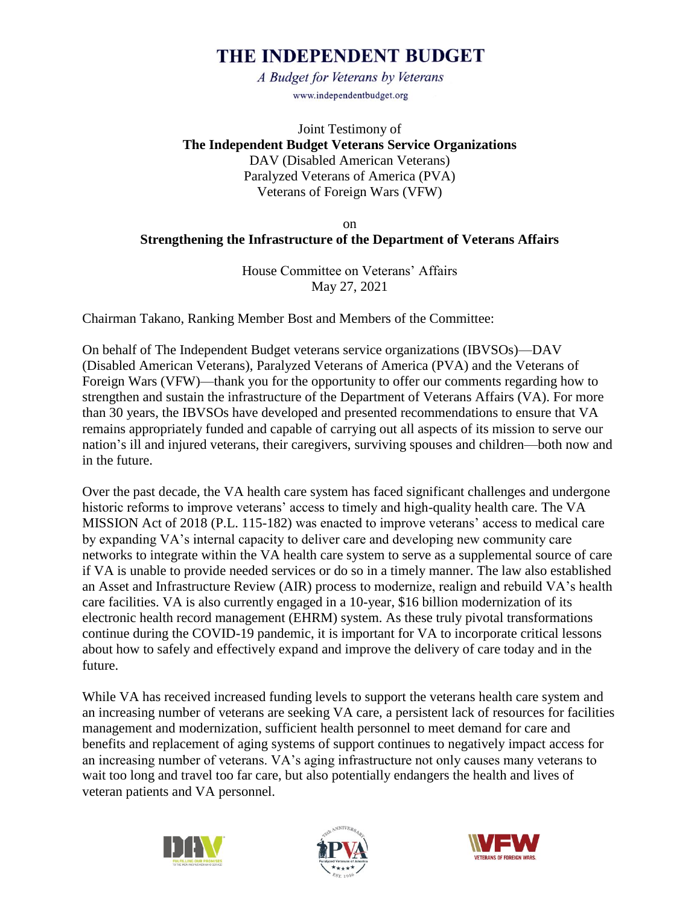# THE INDEPENDENT BUDGET

A Budget for Veterans by Veterans www.independentbudget.org

Joint Testimony of **The Independent Budget Veterans Service Organizations** DAV (Disabled American Veterans) Paralyzed Veterans of America (PVA) Veterans of Foreign Wars (VFW)

#### on **Strengthening the Infrastructure of the Department of Veterans Affairs**

House Committee on Veterans' Affairs May 27, 2021

Chairman Takano, Ranking Member Bost and Members of the Committee:

On behalf of The Independent Budget veterans service organizations (IBVSOs)—DAV (Disabled American Veterans), Paralyzed Veterans of America (PVA) and the Veterans of Foreign Wars (VFW)—thank you for the opportunity to offer our comments regarding how to strengthen and sustain the infrastructure of the Department of Veterans Affairs (VA). For more than 30 years, the IBVSOs have developed and presented recommendations to ensure that VA remains appropriately funded and capable of carrying out all aspects of its mission to serve our nation's ill and injured veterans, their caregivers, surviving spouses and children—both now and in the future.

Over the past decade, the VA health care system has faced significant challenges and undergone historic reforms to improve veterans' access to timely and high-quality health care. The VA MISSION Act of 2018 (P.L. 115-182) was enacted to improve veterans' access to medical care by expanding VA's internal capacity to deliver care and developing new community care networks to integrate within the VA health care system to serve as a supplemental source of care if VA is unable to provide needed services or do so in a timely manner. The law also established an Asset and Infrastructure Review (AIR) process to modernize, realign and rebuild VA's health care facilities. VA is also currently engaged in a 10-year, \$16 billion modernization of its electronic health record management (EHRM) system. As these truly pivotal transformations continue during the COVID-19 pandemic, it is important for VA to incorporate critical lessons about how to safely and effectively expand and improve the delivery of care today and in the future.

While VA has received increased funding levels to support the veterans health care system and an increasing number of veterans are seeking VA care, a persistent lack of resources for facilities management and modernization, sufficient health personnel to meet demand for care and benefits and replacement of aging systems of support continues to negatively impact access for an increasing number of veterans. VA's aging infrastructure not only causes many veterans to wait too long and travel too far care, but also potentially endangers the health and lives of veteran patients and VA personnel.





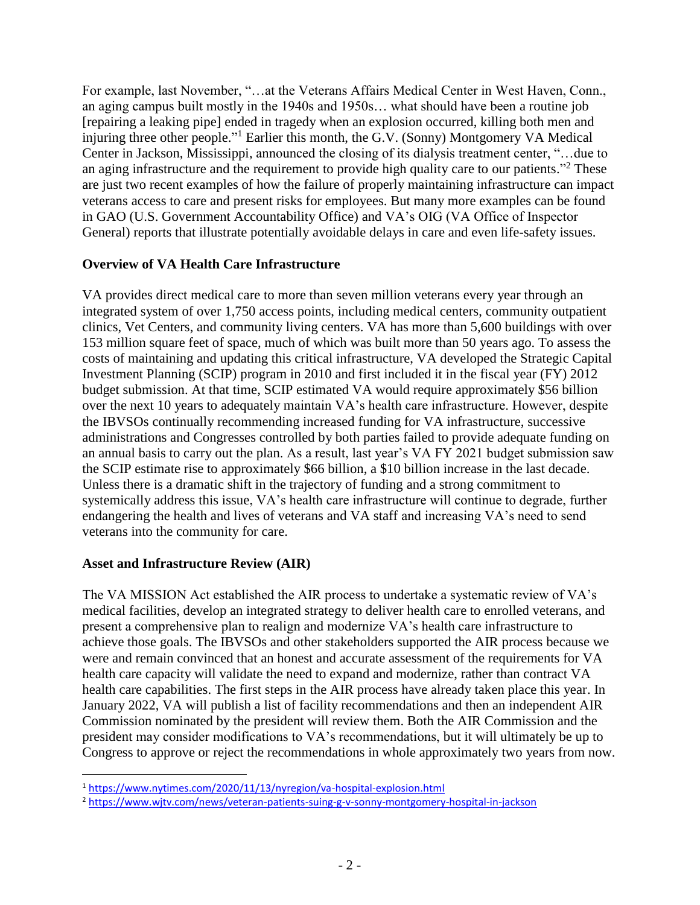For example, last November, "…at the Veterans Affairs Medical Center in West Haven, Conn., an aging campus built mostly in the 1940s and 1950s… what should have been a routine job [repairing a leaking pipe] ended in tragedy when an explosion occurred, killing both men and injuring three other people."<sup>1</sup> Earlier this month, the G.V. (Sonny) Montgomery VA Medical Center in Jackson, Mississippi, announced the closing of its dialysis treatment center, "…due to an aging infrastructure and the requirement to provide high quality care to our patients."<sup>2</sup> These are just two recent examples of how the failure of properly maintaining infrastructure can impact veterans access to care and present risks for employees. But many more examples can be found in GAO (U.S. Government Accountability Office) and VA's OIG (VA Office of Inspector General) reports that illustrate potentially avoidable delays in care and even life-safety issues.

#### **Overview of VA Health Care Infrastructure**

VA provides direct medical care to more than seven million veterans every year through an integrated system of over 1,750 access points, including medical centers, community outpatient clinics, Vet Centers, and community living centers. VA has more than 5,600 buildings with over 153 million square feet of space, much of which was built more than 50 years ago. To assess the costs of maintaining and updating this critical infrastructure, VA developed the Strategic Capital Investment Planning (SCIP) program in 2010 and first included it in the fiscal year (FY) 2012 budget submission. At that time, SCIP estimated VA would require approximately \$56 billion over the next 10 years to adequately maintain VA's health care infrastructure. However, despite the IBVSOs continually recommending increased funding for VA infrastructure, successive administrations and Congresses controlled by both parties failed to provide adequate funding on an annual basis to carry out the plan. As a result, last year's VA FY 2021 budget submission saw the SCIP estimate rise to approximately \$66 billion, a \$10 billion increase in the last decade. Unless there is a dramatic shift in the trajectory of funding and a strong commitment to systemically address this issue, VA's health care infrastructure will continue to degrade, further endangering the health and lives of veterans and VA staff and increasing VA's need to send veterans into the community for care.

#### **Asset and Infrastructure Review (AIR)**

 $\overline{a}$ 

The VA MISSION Act established the AIR process to undertake a systematic review of VA's medical facilities, develop an integrated strategy to deliver health care to enrolled veterans, and present a comprehensive plan to realign and modernize VA's health care infrastructure to achieve those goals. The IBVSOs and other stakeholders supported the AIR process because we were and remain convinced that an honest and accurate assessment of the requirements for VA health care capacity will validate the need to expand and modernize, rather than contract VA health care capabilities. The first steps in the AIR process have already taken place this year. In January 2022, VA will publish a list of facility recommendations and then an independent AIR Commission nominated by the president will review them. Both the AIR Commission and the president may consider modifications to VA's recommendations, but it will ultimately be up to Congress to approve or reject the recommendations in whole approximately two years from now.

<sup>1</sup> [https://www.nytimes.com/2020/11/13/nyregion/va-hospital-explosion.html](about:blank)

<sup>2</sup> [https://www.wjtv.com/news/veteran-patients-suing-g-v-sonny-montgomery-hospital-in-jackson](about:blank)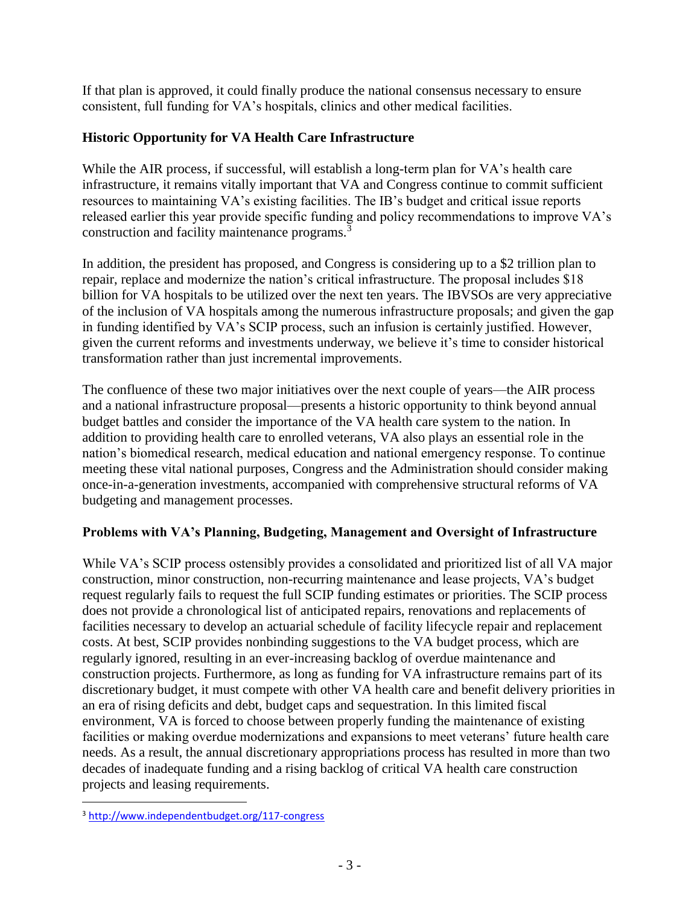If that plan is approved, it could finally produce the national consensus necessary to ensure consistent, full funding for VA's hospitals, clinics and other medical facilities.

### **Historic Opportunity for VA Health Care Infrastructure**

While the AIR process, if successful, will establish a long-term plan for VA's health care infrastructure, it remains vitally important that VA and Congress continue to commit sufficient resources to maintaining VA's existing facilities. The IB's budget and critical issue reports released earlier this year provide specific funding and policy recommendations to improve VA's construction and facility maintenance programs.<sup>3</sup>

In addition, the president has proposed, and Congress is considering up to a \$2 trillion plan to repair, replace and modernize the nation's critical infrastructure. The proposal includes \$18 billion for VA hospitals to be utilized over the next ten years. The IBVSOs are very appreciative of the inclusion of VA hospitals among the numerous infrastructure proposals; and given the gap in funding identified by VA's SCIP process, such an infusion is certainly justified. However, given the current reforms and investments underway, we believe it's time to consider historical transformation rather than just incremental improvements.

The confluence of these two major initiatives over the next couple of years—the AIR process and a national infrastructure proposal—presents a historic opportunity to think beyond annual budget battles and consider the importance of the VA health care system to the nation. In addition to providing health care to enrolled veterans, VA also plays an essential role in the nation's biomedical research, medical education and national emergency response. To continue meeting these vital national purposes, Congress and the Administration should consider making once-in-a-generation investments, accompanied with comprehensive structural reforms of VA budgeting and management processes.

#### **Problems with VA's Planning, Budgeting, Management and Oversight of Infrastructure**

While VA's SCIP process ostensibly provides a consolidated and prioritized list of all VA major construction, minor construction, non-recurring maintenance and lease projects, VA's budget request regularly fails to request the full SCIP funding estimates or priorities. The SCIP process does not provide a chronological list of anticipated repairs, renovations and replacements of facilities necessary to develop an actuarial schedule of facility lifecycle repair and replacement costs. At best, SCIP provides nonbinding suggestions to the VA budget process, which are regularly ignored, resulting in an ever-increasing backlog of overdue maintenance and construction projects. Furthermore, as long as funding for VA infrastructure remains part of its discretionary budget, it must compete with other VA health care and benefit delivery priorities in an era of rising deficits and debt, budget caps and sequestration. In this limited fiscal environment, VA is forced to choose between properly funding the maintenance of existing facilities or making overdue modernizations and expansions to meet veterans' future health care needs. As a result, the annual discretionary appropriations process has resulted in more than two decades of inadequate funding and a rising backlog of critical VA health care construction projects and leasing requirements.

 $\overline{a}$ 

<sup>3</sup> [http://www.independentbudget.org/117-congress](about:blank)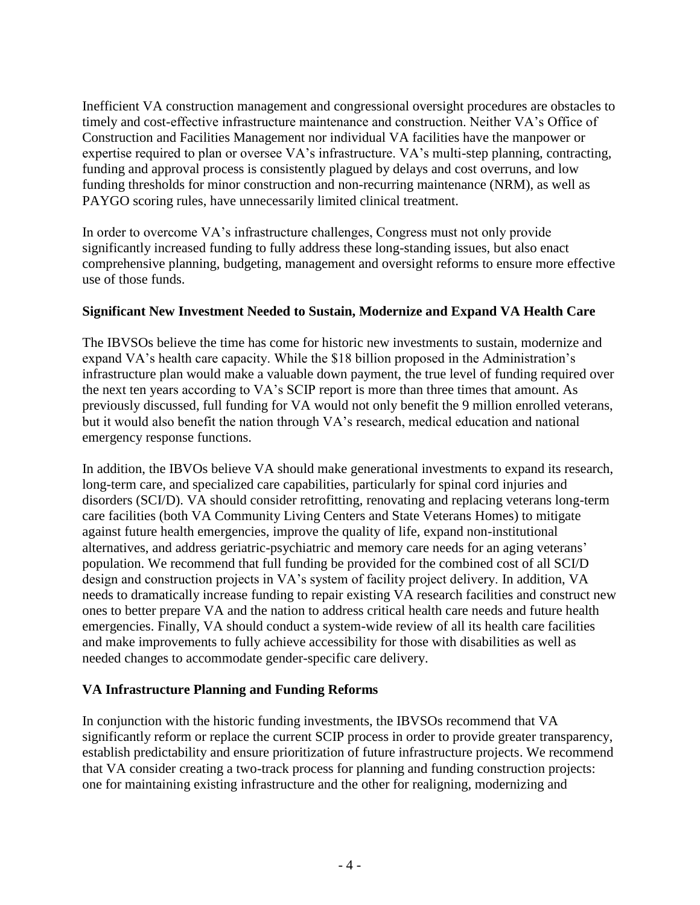Inefficient VA construction management and congressional oversight procedures are obstacles to timely and cost-effective infrastructure maintenance and construction. Neither VA's Office of Construction and Facilities Management nor individual VA facilities have the manpower or expertise required to plan or oversee VA's infrastructure. VA's multi-step planning, contracting, funding and approval process is consistently plagued by delays and cost overruns, and low funding thresholds for minor construction and non-recurring maintenance (NRM), as well as PAYGO scoring rules, have unnecessarily limited clinical treatment.

In order to overcome VA's infrastructure challenges, Congress must not only provide significantly increased funding to fully address these long-standing issues, but also enact comprehensive planning, budgeting, management and oversight reforms to ensure more effective use of those funds.

#### **Significant New Investment Needed to Sustain, Modernize and Expand VA Health Care**

The IBVSOs believe the time has come for historic new investments to sustain, modernize and expand VA's health care capacity. While the \$18 billion proposed in the Administration's infrastructure plan would make a valuable down payment, the true level of funding required over the next ten years according to VA's SCIP report is more than three times that amount. As previously discussed, full funding for VA would not only benefit the 9 million enrolled veterans, but it would also benefit the nation through VA's research, medical education and national emergency response functions.

In addition, the IBVOs believe VA should make generational investments to expand its research, long-term care, and specialized care capabilities, particularly for spinal cord injuries and disorders (SCI/D). VA should consider retrofitting, renovating and replacing veterans long-term care facilities (both VA Community Living Centers and State Veterans Homes) to mitigate against future health emergencies, improve the quality of life, expand non-institutional alternatives, and address geriatric-psychiatric and memory care needs for an aging veterans' population. We recommend that full funding be provided for the combined cost of all SCI/D design and construction projects in VA's system of facility project delivery. In addition, VA needs to dramatically increase funding to repair existing VA research facilities and construct new ones to better prepare VA and the nation to address critical health care needs and future health emergencies. Finally, VA should conduct a system-wide review of all its health care facilities and make improvements to fully achieve accessibility for those with disabilities as well as needed changes to accommodate gender-specific care delivery.

#### **VA Infrastructure Planning and Funding Reforms**

In conjunction with the historic funding investments, the IBVSOs recommend that VA significantly reform or replace the current SCIP process in order to provide greater transparency, establish predictability and ensure prioritization of future infrastructure projects. We recommend that VA consider creating a two-track process for planning and funding construction projects: one for maintaining existing infrastructure and the other for realigning, modernizing and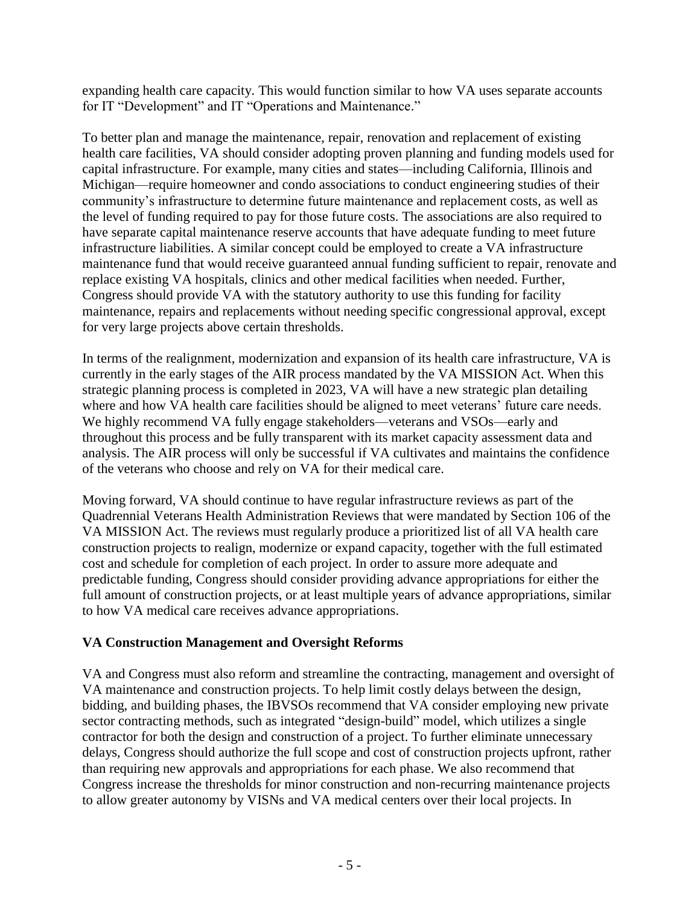expanding health care capacity. This would function similar to how VA uses separate accounts for IT "Development" and IT "Operations and Maintenance."

To better plan and manage the maintenance, repair, renovation and replacement of existing health care facilities, VA should consider adopting proven planning and funding models used for capital infrastructure. For example, many cities and states—including California, Illinois and Michigan—require homeowner and condo associations to conduct engineering studies of their community's infrastructure to determine future maintenance and replacement costs, as well as the level of funding required to pay for those future costs. The associations are also required to have separate capital maintenance reserve accounts that have adequate funding to meet future infrastructure liabilities. A similar concept could be employed to create a VA infrastructure maintenance fund that would receive guaranteed annual funding sufficient to repair, renovate and replace existing VA hospitals, clinics and other medical facilities when needed. Further, Congress should provide VA with the statutory authority to use this funding for facility maintenance, repairs and replacements without needing specific congressional approval, except for very large projects above certain thresholds.

In terms of the realignment, modernization and expansion of its health care infrastructure, VA is currently in the early stages of the AIR process mandated by the VA MISSION Act. When this strategic planning process is completed in 2023, VA will have a new strategic plan detailing where and how VA health care facilities should be aligned to meet veterans' future care needs. We highly recommend VA fully engage stakeholders—veterans and VSOs—early and throughout this process and be fully transparent with its market capacity assessment data and analysis. The AIR process will only be successful if VA cultivates and maintains the confidence of the veterans who choose and rely on VA for their medical care.

Moving forward, VA should continue to have regular infrastructure reviews as part of the Quadrennial Veterans Health Administration Reviews that were mandated by Section 106 of the VA MISSION Act. The reviews must regularly produce a prioritized list of all VA health care construction projects to realign, modernize or expand capacity, together with the full estimated cost and schedule for completion of each project. In order to assure more adequate and predictable funding, Congress should consider providing advance appropriations for either the full amount of construction projects, or at least multiple years of advance appropriations, similar to how VA medical care receives advance appropriations.

#### **VA Construction Management and Oversight Reforms**

VA and Congress must also reform and streamline the contracting, management and oversight of VA maintenance and construction projects. To help limit costly delays between the design, bidding, and building phases, the IBVSOs recommend that VA consider employing new private sector contracting methods, such as integrated "design-build" model, which utilizes a single contractor for both the design and construction of a project. To further eliminate unnecessary delays, Congress should authorize the full scope and cost of construction projects upfront, rather than requiring new approvals and appropriations for each phase. We also recommend that Congress increase the thresholds for minor construction and non-recurring maintenance projects to allow greater autonomy by VISNs and VA medical centers over their local projects. In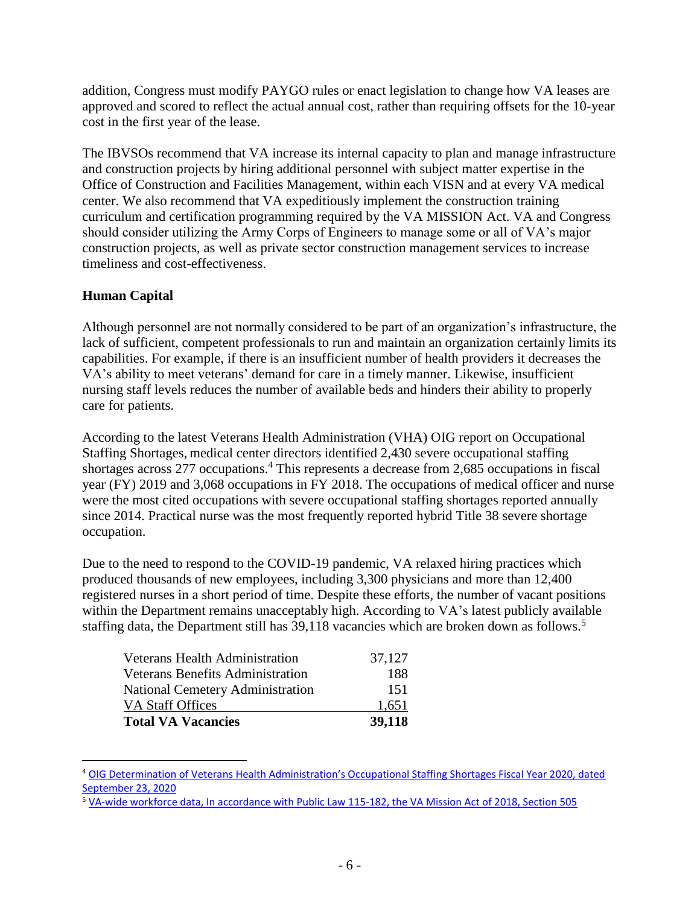addition, Congress must modify PAYGO rules or enact legislation to change how VA leases are approved and scored to reflect the actual annual cost, rather than requiring offsets for the 10-year cost in the first year of the lease.

The IBVSOs recommend that VA increase its internal capacity to plan and manage infrastructure and construction projects by hiring additional personnel with subject matter expertise in the Office of Construction and Facilities Management, within each VISN and at every VA medical center. We also recommend that VA expeditiously implement the construction training curriculum and certification programming required by the VA MISSION Act. VA and Congress should consider utilizing the Army Corps of Engineers to manage some or all of VA's major construction projects, as well as private sector construction management services to increase timeliness and cost-effectiveness.

## **Human Capital**

 $\overline{a}$ 

Although personnel are not normally considered to be part of an organization's infrastructure, the lack of sufficient, competent professionals to run and maintain an organization certainly limits its capabilities. For example, if there is an insufficient number of health providers it decreases the VA's ability to meet veterans' demand for care in a timely manner. Likewise, insufficient nursing staff levels reduces the number of available beds and hinders their ability to properly care for patients.

According to the latest Veterans Health Administration (VHA) OIG report on Occupational Staffing Shortages, medical center directors identified 2,430 severe occupational staffing shortages across 277 occupations.<sup>4</sup> This represents a decrease from 2,685 occupations in fiscal year (FY) 2019 and 3,068 occupations in FY 2018. The occupations of medical officer and nurse were the most cited occupations with severe occupational staffing shortages reported annually since 2014. Practical nurse was the most frequently reported hybrid Title 38 severe shortage occupation.

Due to the need to respond to the COVID-19 pandemic, VA relaxed hiring practices which produced thousands of new employees, including 3,300 physicians and more than 12,400 registered nurses in a short period of time. Despite these efforts, the number of vacant positions within the Department remains unacceptably high. According to VA's latest publicly available staffing data, the Department still has 39,118 vacancies which are broken down as follows.<sup>5</sup>

| <b>Total VA Vacancies</b>               | 39,118 |
|-----------------------------------------|--------|
| VA Staff Offices                        | 1,651  |
| National Cemetery Administration        | 151    |
| <b>Veterans Benefits Administration</b> | 188    |
| <b>Veterans Health Administration</b>   | 37,127 |

<sup>4</sup> OIG Determination of Veterans [Health Administration's Occupational Staffing Shortages Fiscal Year 2020, dated](about:blank)  [September 23, 2020](about:blank)

<sup>5</sup> [VA-wide workforce data, In accordance with Public Law 115-182, the VA Mission Act of 2018, Section 505](about:blank)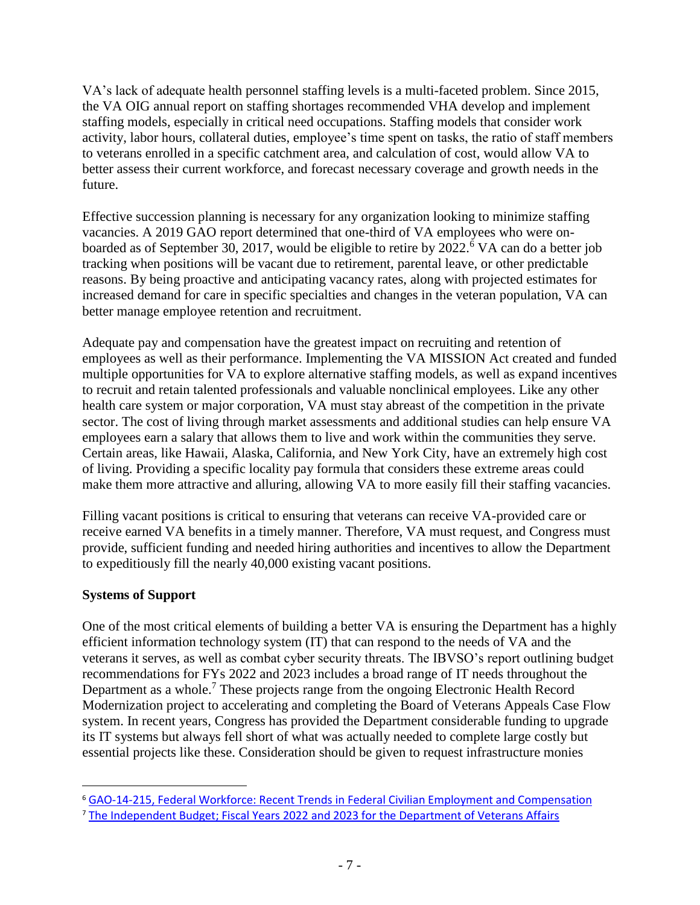VA's lack of adequate health personnel staffing levels is a multi-faceted problem. Since 2015, the VA OIG annual report on staffing shortages recommended VHA develop and implement staffing models, especially in critical need occupations. Staffing models that consider work activity, labor hours, collateral duties, employee's time spent on tasks, the ratio of staff members to veterans enrolled in a specific catchment area, and calculation of cost, would allow VA to better assess their current workforce, and forecast necessary coverage and growth needs in the future.

Effective succession planning is necessary for any organization looking to minimize staffing vacancies. A 2019 GAO report determined that one-third of VA employees who were onboarded as of September 30, 2017, would be eligible to retire by 2022. <sup>6</sup> VA can do a better job tracking when positions will be vacant due to retirement, parental leave, or other predictable reasons. By being proactive and anticipating vacancy rates, along with projected estimates for increased demand for care in specific specialties and changes in the veteran population, VA can better manage employee retention and recruitment.

Adequate pay and compensation have the greatest impact on recruiting and retention of employees as well as their performance. Implementing the VA MISSION Act created and funded multiple opportunities for VA to explore alternative staffing models, as well as expand incentives to recruit and retain talented professionals and valuable nonclinical employees. Like any other health care system or major corporation, VA must stay abreast of the competition in the private sector. The cost of living through market assessments and additional studies can help ensure VA employees earn a salary that allows them to live and work within the communities they serve. Certain areas, like Hawaii, Alaska, California, and New York City, have an extremely high cost of living. Providing a specific locality pay formula that considers these extreme areas could make them more attractive and alluring, allowing VA to more easily fill their staffing vacancies.

Filling vacant positions is critical to ensuring that veterans can receive VA-provided care or receive earned VA benefits in a timely manner. Therefore, VA must request, and Congress must provide, sufficient funding and needed hiring authorities and incentives to allow the Department to expeditiously fill the nearly 40,000 existing vacant positions.

#### **Systems of Support**

 $\overline{a}$ 

One of the most critical elements of building a better VA is ensuring the Department has a highly efficient information technology system (IT) that can respond to the needs of VA and the veterans it serves, as well as combat cyber security threats. The IBVSO's report outlining budget recommendations for FYs 2022 and 2023 includes a broad range of IT needs throughout the Department as a whole.<sup>7</sup> These projects range from the ongoing Electronic Health Record Modernization project to accelerating and completing the Board of Veterans Appeals Case Flow system. In recent years, Congress has provided the Department considerable funding to upgrade its IT systems but always fell short of what was actually needed to complete large costly but essential projects like these. Consideration should be given to request infrastructure monies

<sup>6</sup> [GAO-14-215, Federal Workforce: Recent Trends in Federal Civilian Employment and Compensation](about:blank)

<sup>7</sup> [The Independent Budget; Fiscal Years 2022 and 2023 for the Department of Veterans Affairs](about:blank)